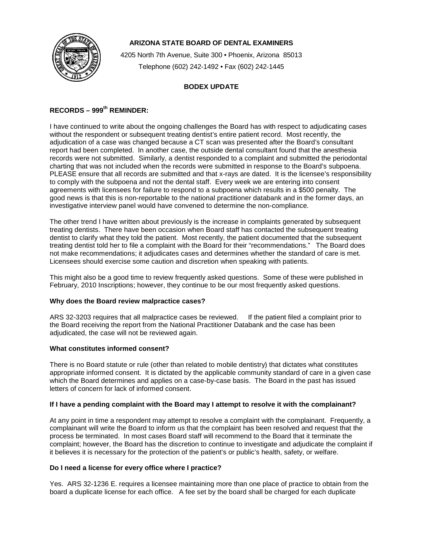

## **ARIZONA STATE BOARD OF DENTAL EXAMINERS**

4205 North 7th Avenue, Suite 300 • Phoenix, Arizona 85013 Telephone (602) 242-1492 • Fax (602) 242-1445

### **BODEX UPDATE**

# **RECORDS – 999th REMINDER:**

I have continued to write about the ongoing challenges the Board has with respect to adjudicating cases without the respondent or subsequent treating dentist's entire patient record. Most recently, the adjudication of a case was changed because a CT scan was presented after the Board's consultant report had been completed. In another case, the outside dental consultant found that the anesthesia records were not submitted. Similarly, a dentist responded to a complaint and submitted the periodontal charting that was not included when the records were submitted in response to the Board's subpoena. PLEASE ensure that all records are submitted and that x-rays are dated. It is the licensee's responsibility to comply with the subpoena and not the dental staff. Every week we are entering into consent agreements with licensees for failure to respond to a subpoena which results in a \$500 penalty. The good news is that this is non-reportable to the national practitioner databank and in the former days, an investigative interview panel would have convened to determine the non-compliance.

The other trend I have written about previously is the increase in complaints generated by subsequent treating dentists. There have been occasion when Board staff has contacted the subsequent treating dentist to clarify what they told the patient. Most recently, the patient documented that the subsequent treating dentist told her to file a complaint with the Board for their "recommendations." The Board does not make recommendations; it adjudicates cases and determines whether the standard of care is met. Licensees should exercise some caution and discretion when speaking with patients.

This might also be a good time to review frequently asked questions. Some of these were published in February, 2010 Inscriptions; however, they continue to be our most frequently asked questions.

#### **Why does the Board review malpractice cases?**

ARS 32-3203 requires that all malpractice cases be reviewed. If the patient filed a complaint prior to the Board receiving the report from the National Practitioner Databank and the case has been adjudicated, the case will not be reviewed again.

#### **What constitutes informed consent?**

There is no Board statute or rule (other than related to mobile dentistry) that dictates what constitutes appropriate informed consent. It is dictated by the applicable community standard of care in a given case which the Board determines and applies on a case-by-case basis. The Board in the past has issued letters of concern for lack of informed consent.

#### **If I have a pending complaint with the Board may I attempt to resolve it with the complainant?**

At any point in time a respondent may attempt to resolve a complaint with the complainant. Frequently, a complainant will write the Board to inform us that the complaint has been resolved and request that the process be terminated. In most cases Board staff will recommend to the Board that it terminate the complaint; however, the Board has the discretion to continue to investigate and adjudicate the complaint if it believes it is necessary for the protection of the patient's or public's health, safety, or welfare.

#### **Do I need a license for every office where I practice?**

Yes. ARS 32-1236 E. requires a licensee maintaining more than one place of practice to obtain from the board a duplicate license for each office. A fee set by the board shall be charged for each duplicate